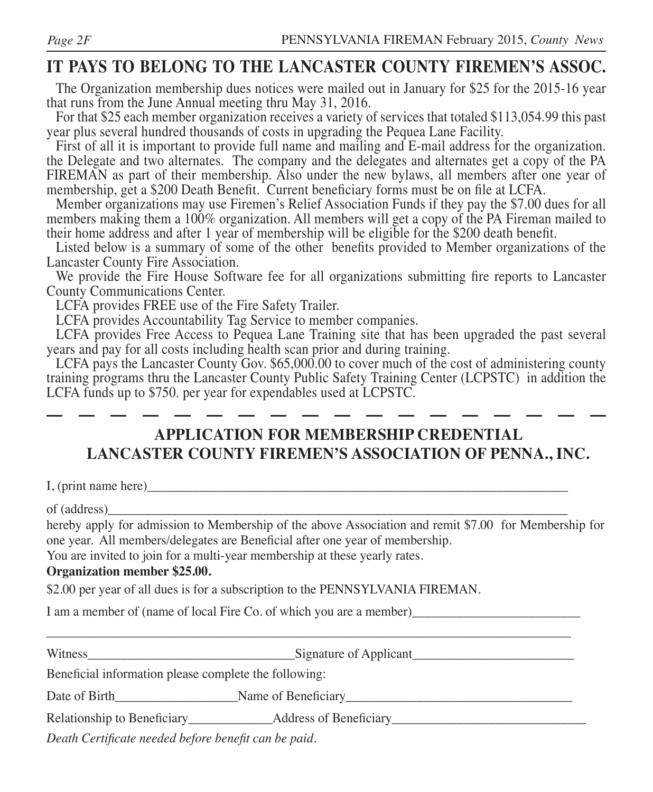## **IT PAYS TO BELONG TO THE LANCASTER COUNTY FIREMEN'S ASSOC.**

The Organization membership dues notices were mailed out in January for \$25 for the 2015-16 year that runs from the June Annual meeting thru May 31, 2016.

For that \$25 each member organization receives a variety of services that totaled \$113,054.99 this past year plus several hundred thousands of costs in upgrading the Pequea Lane Facility.

First of all it is important to provide full name and mailing and E-mail address for the organization. the Delegate and two alternates. The company and the delegates and alternates get a copy of the PA FIREMAN as part of their membership. Also under the new bylaws, all members after one year of membership, get a \$200 Death Benefit. Current beneficiary forms must be on file at LCFA.

Member organizations may use Firemen's Relief Association Funds if they pay the \$7.00 dues for all members making them a 100% organization. All members will get a copy of the PA Fireman mailed to their home address and after 1 year of membership will be eligible for the \$200 death benefit.

Listed below is a summary of some of the other benefits provided to Member organizations of the Lancaster County Fire Association.

We provide the Fire House Software fee for all organizations submitting fire reports to Lancaster County Communications Center.

LCFA provides FREE use of the Fire Safety Trailer.

LCFA provides Accountability Tag Service to member companies.

LCFA provides Free Access to Pequea Lane Training site that has been upgraded the past several years and pay for all costs including health scan prior and during training.

LCFA pays the Lancaster County Gov. \$65,000.00 to cover much of the cost of administering county training programs thru the Lancaster County Public Safety Training Center (LCPSTC) in addition the LCFA funds up to \$750. per year for expendables used at LCPSTC.

### **APPLICATION FOR MEMBERSHIP CREDENTIAL LANCASTER COUNTY FIREMEN'S ASSOCIATION OF PENNA., INC.**

I, (print name here)

of (address)\_\_\_\_\_\_\_\_\_\_\_\_\_\_\_\_\_\_\_\_\_\_\_\_\_\_\_\_\_\_\_\_\_\_\_\_\_\_\_\_\_\_\_\_\_\_\_\_\_\_\_\_\_\_\_\_\_\_\_\_\_\_\_\_\_\_\_\_\_\_\_

hereby apply for admission to Membership of the above Association and remit \$7.00 for Membership for one year. All members/delegates are Beneficial after one year of membership.

You are invited to join for a multi-year membership at these yearly rates.

### **Organization member \$25.00.**

\$2.00 per year of all dues is for a subscription to the PENNSYLVANIA FIREMAN.

I am a member of (name of local Fire Co. of which you are a member)

| Wit                                                             | Signature of Applicant            |  |
|-----------------------------------------------------------------|-----------------------------------|--|
| the contract of the contract of the contract of the contract of | the company's company's company's |  |

Beneficial information please complete the following:

| Date of Birth | Beneficiary<br>vame of |  |
|---------------|------------------------|--|
|               |                        |  |

Relationship to Beneficiary\_\_\_\_\_\_\_\_\_\_\_\_\_\_\_\_\_\_Address of Beneficiary\_\_\_\_\_\_\_\_\_\_\_\_\_\_

*Death Certificate needed before benefit can be paid.*